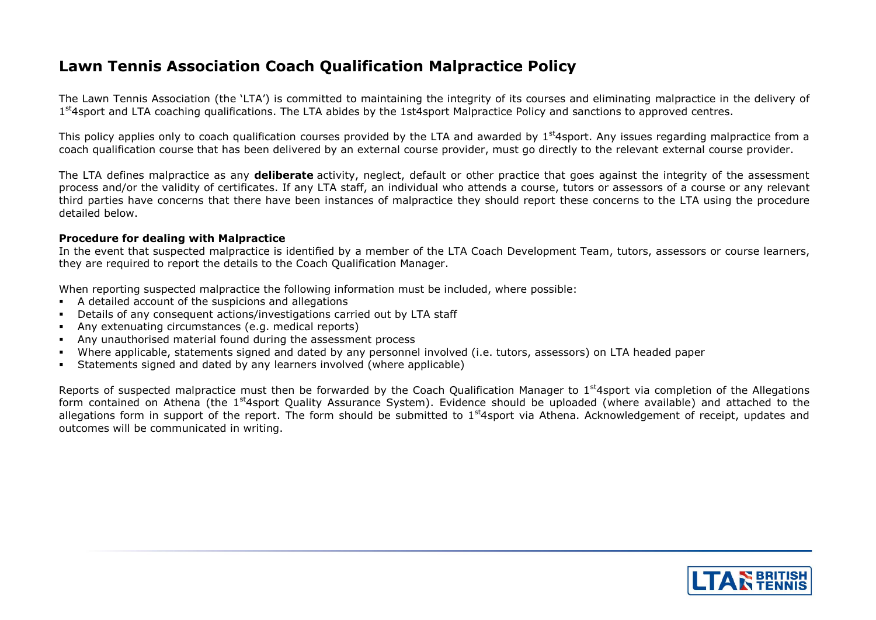# **Lawn Tennis Association Coach Qualification Malpractice Policy**

The Lawn Tennis Association (the 'LTA') is committed to maintaining the integrity of its courses and eliminating malpractice in the delivery of 1<sup>st</sup>4sport and LTA coaching qualifications. The LTA abides by the 1st4sport Malpractice Policy and sanctions to approved centres.

This policy applies only to coach qualification courses provided by the LTA and awarded by  $1<sup>st</sup>4$ sport. Any issues regarding malpractice from a coach qualification course that has been delivered by an external course provider, must go directly to the relevant external course provider.

The LTA defines malpractice as any **deliberate** activity, neglect, default or other practice that goes against the integrity of the assessment process and/or the validity of certificates. If any LTA staff, an individual who attends a course, tutors or assessors of a course or any relevant third parties have concerns that there have been instances of malpractice they should report these concerns to the LTA using the procedure detailed below.

#### **Procedure for dealing with Malpractice**

In the event that suspected malpractice is identified by a member of the LTA Coach Development Team, tutors, assessors or course learners, they are required to report the details to the Coach Qualification Manager.

When reporting suspected malpractice the following information must be included, where possible:

- A detailed account of the suspicions and allegations
- Details of any consequent actions/investigations carried out by LTA staff
- Any extenuating circumstances (e.g. medical reports)
- Any unauthorised material found during the assessment process
- Where applicable, statements signed and dated by any personnel involved (i.e. tutors, assessors) on LTA headed paper
- Statements signed and dated by any learners involved (where applicable)

Reports of suspected malpractice must then be forwarded by the Coach Qualification Manager to 1<sup>st</sup>4sport via completion of the Allegations form contained on Athena (the 1<sup>st</sup>4sport Quality Assurance System). Evidence should be uploaded (where available) and attached to the allegations form in support of the report. The form should be submitted to  $1<sup>st</sup>4$ sport via Athena. Acknowledgement of receipt, updates and outcomes will be communicated in writing.